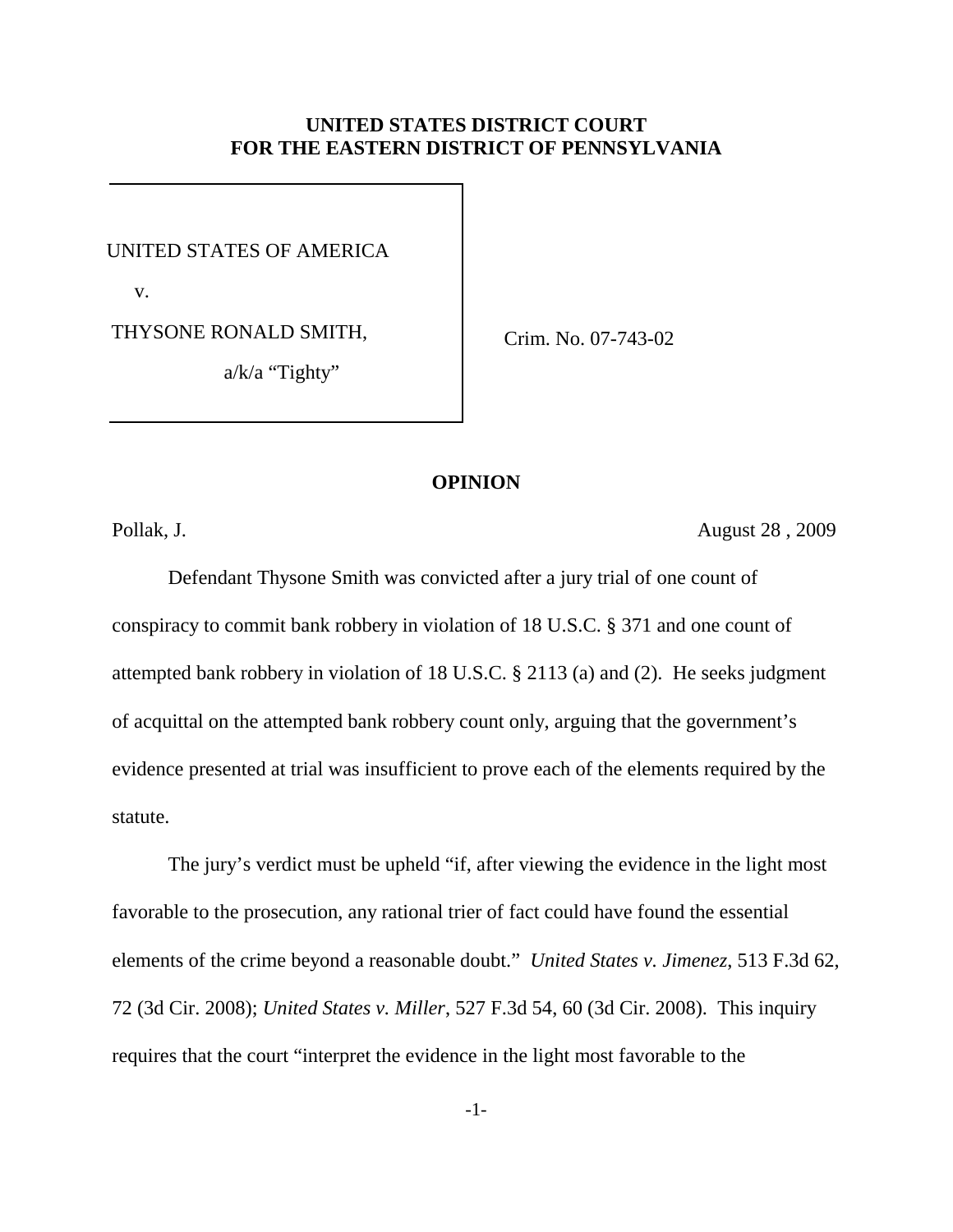## **UNITED STATES DISTRICT COURT FOR THE EASTERN DISTRICT OF PENNSYLVANIA**

UNITED STATES OF AMERICA

v.

THYSONE RONALD SMITH,

a/k/a "Tighty"

Crim. No. 07-743-02

### **OPINION**

Pollak, J. August 28 , 2009

Defendant Thysone Smith was convicted after a jury trial of one count of conspiracy to commit bank robbery in violation of 18 U.S.C. § 371 and one count of attempted bank robbery in violation of 18 U.S.C. § 2113 (a) and (2). He seeks judgment of acquittal on the attempted bank robbery count only, arguing that the government's evidence presented at trial was insufficient to prove each of the elements required by the statute.

The jury's verdict must be upheld "if, after viewing the evidence in the light most favorable to the prosecution, any rational trier of fact could have found the essential elements of the crime beyond a reasonable doubt." *United States v. Jimenez*, 513 F.3d 62, 72 (3d Cir. 2008); *United States v. Miller*, 527 F.3d 54, 60 (3d Cir. 2008). This inquiry requires that the court "interpret the evidence in the light most favorable to the

-1-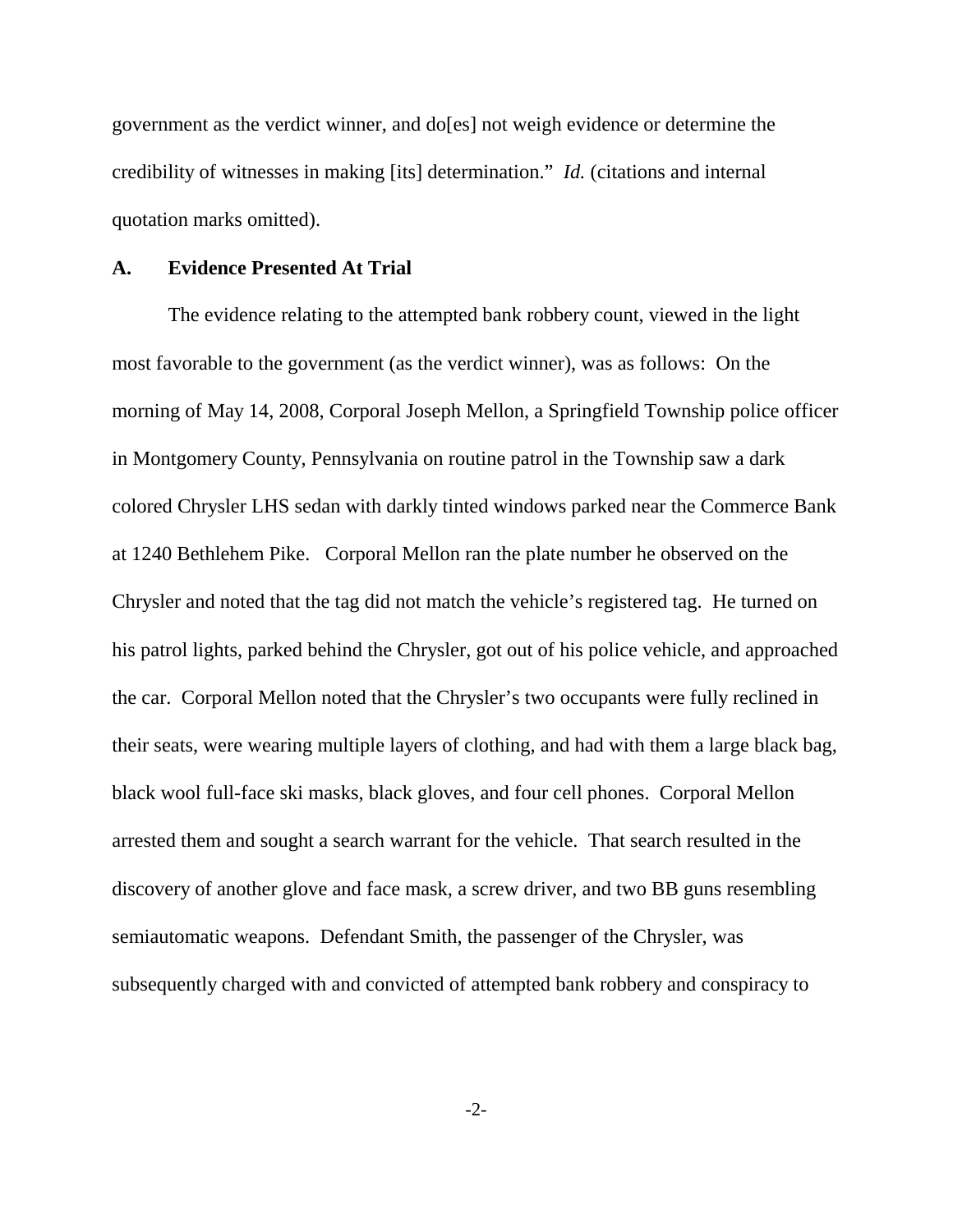government as the verdict winner, and do[es] not weigh evidence or determine the credibility of witnesses in making [its] determination." *Id.* (citations and internal quotation marks omitted).

#### **A. Evidence Presented At Trial**

The evidence relating to the attempted bank robbery count, viewed in the light most favorable to the government (as the verdict winner), was as follows: On the morning of May 14, 2008, Corporal Joseph Mellon, a Springfield Township police officer in Montgomery County, Pennsylvania on routine patrol in the Township saw a dark colored Chrysler LHS sedan with darkly tinted windows parked near the Commerce Bank at 1240 Bethlehem Pike. Corporal Mellon ran the plate number he observed on the Chrysler and noted that the tag did not match the vehicle's registered tag. He turned on his patrol lights, parked behind the Chrysler, got out of his police vehicle, and approached the car. Corporal Mellon noted that the Chrysler's two occupants were fully reclined in their seats, were wearing multiple layers of clothing, and had with them a large black bag, black wool full-face ski masks, black gloves, and four cell phones. Corporal Mellon arrested them and sought a search warrant for the vehicle. That search resulted in the discovery of another glove and face mask, a screw driver, and two BB guns resembling semiautomatic weapons. Defendant Smith, the passenger of the Chrysler, was subsequently charged with and convicted of attempted bank robbery and conspiracy to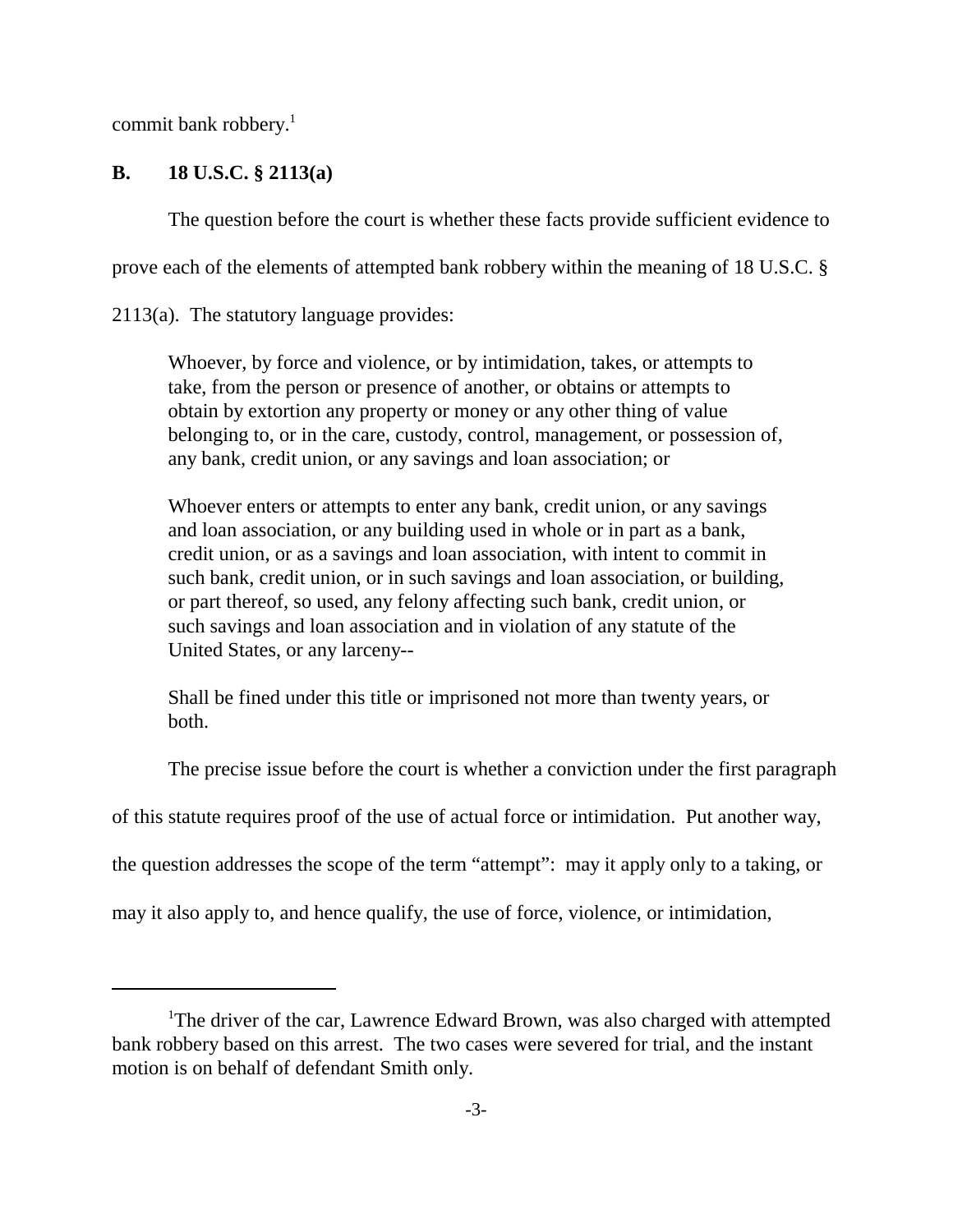commit bank robbery. 1

# **B. 18 U.S.C. § 2113(a)**

The question before the court is whether these facts provide sufficient evidence to

prove each of the elements of attempted bank robbery within the meaning of 18 U.S.C. §

2113(a). The statutory language provides:

Whoever, by force and violence, or by intimidation, takes, or attempts to take, from the person or presence of another, or obtains or attempts to obtain by extortion any property or money or any other thing of value belonging to, or in the care, custody, control, management, or possession of, any bank, credit union, or any savings and loan association; or

Whoever enters or attempts to enter any bank, credit union, or any savings and loan association, or any building used in whole or in part as a bank, credit union, or as a savings and loan association, with intent to commit in such bank, credit union, or in such savings and loan association, or building, or part thereof, so used, any felony affecting such bank, credit union, or such savings and loan association and in violation of any statute of the United States, or any larceny--

Shall be fined under this title or imprisoned not more than twenty years, or both.

The precise issue before the court is whether a conviction under the first paragraph

of this statute requires proof of the use of actual force or intimidation. Put another way,

the question addresses the scope of the term "attempt": may it apply only to a taking, or

may it also apply to, and hence qualify, the use of force, violence, or intimidation,

<sup>&</sup>lt;sup>1</sup>The driver of the car, Lawrence Edward Brown, was also charged with attempted bank robbery based on this arrest. The two cases were severed for trial, and the instant motion is on behalf of defendant Smith only.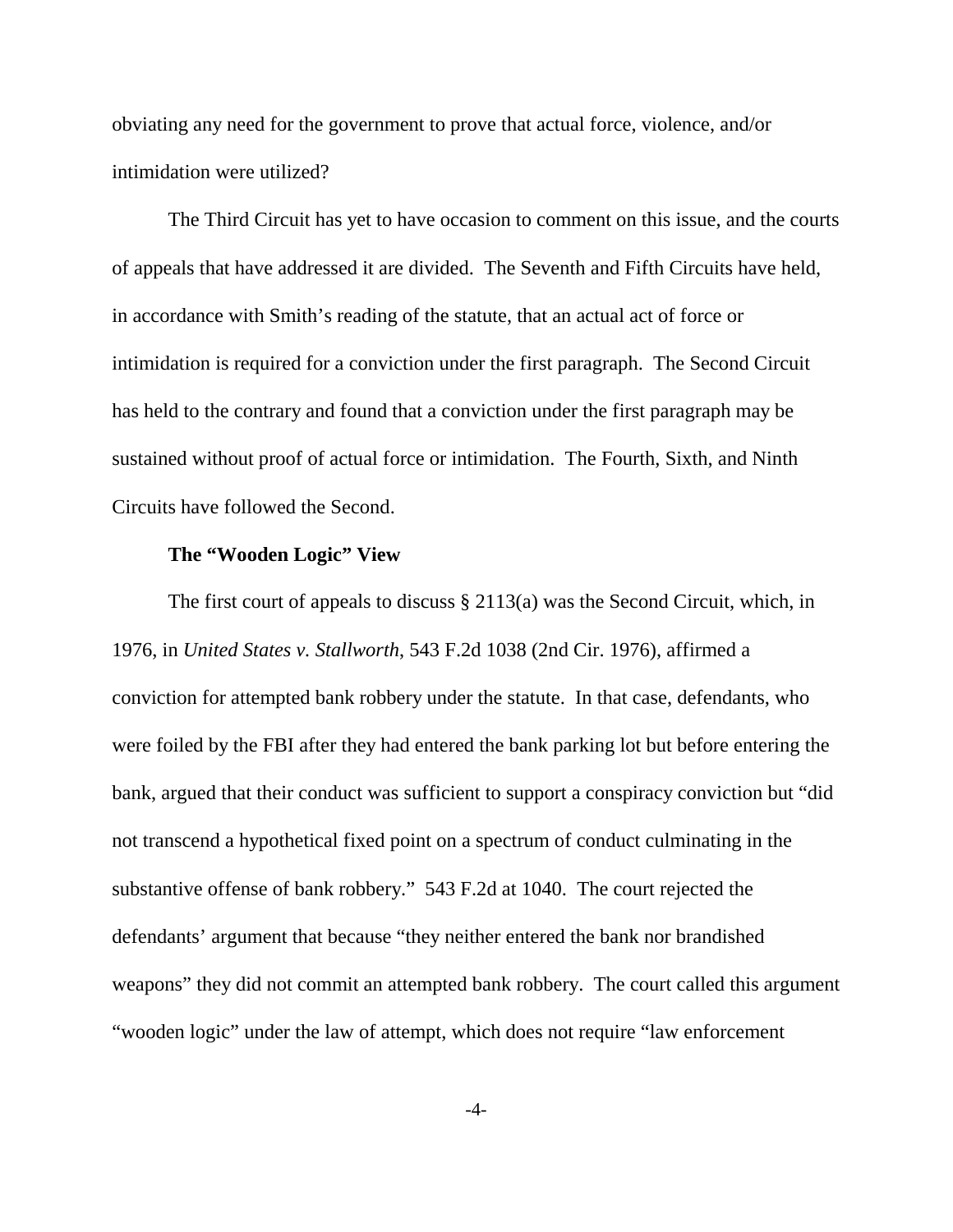obviating any need for the government to prove that actual force, violence, and/or intimidation were utilized?

The Third Circuit has yet to have occasion to comment on this issue, and the courts of appeals that have addressed it are divided. The Seventh and Fifth Circuits have held, in accordance with Smith's reading of the statute, that an actual act of force or intimidation is required for a conviction under the first paragraph. The Second Circuit has held to the contrary and found that a conviction under the first paragraph may be sustained without proof of actual force or intimidation. The Fourth, Sixth, and Ninth Circuits have followed the Second.

#### **The "Wooden Logic" View**

The first court of appeals to discuss § 2113(a) was the Second Circuit, which, in 1976, in *United States v. Stallworth*, 543 F.2d 1038 (2nd Cir. 1976), affirmed a conviction for attempted bank robbery under the statute. In that case, defendants, who were foiled by the FBI after they had entered the bank parking lot but before entering the bank, argued that their conduct was sufficient to support a conspiracy conviction but "did not transcend a hypothetical fixed point on a spectrum of conduct culminating in the substantive offense of bank robbery." 543 F.2d at 1040. The court rejected the defendants' argument that because "they neither entered the bank nor brandished weapons" they did not commit an attempted bank robbery. The court called this argument "wooden logic" under the law of attempt, which does not require "law enforcement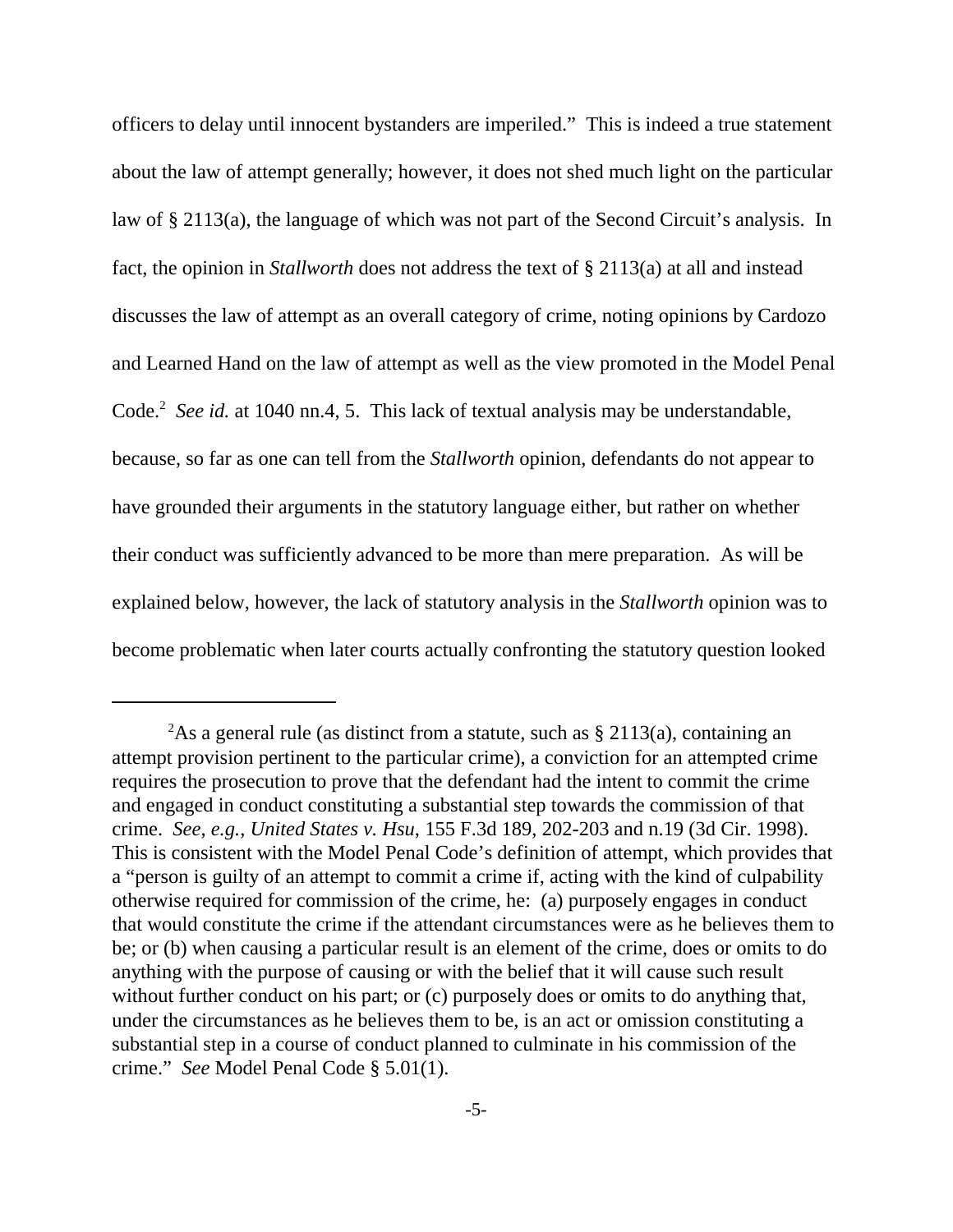officers to delay until innocent bystanders are imperiled." This is indeed a true statement about the law of attempt generally; however, it does not shed much light on the particular law of § 2113(a), the language of which was not part of the Second Circuit's analysis. In fact, the opinion in *Stallworth* does not address the text of § 2113(a) at all and instead discusses the law of attempt as an overall category of crime, noting opinions by Cardozo and Learned Hand on the law of attempt as well as the view promoted in the Model Penal Code. <sup>2</sup> *See id.* at 1040 nn.4, 5. This lack of textual analysis may be understandable, because, so far as one can tell from the *Stallworth* opinion, defendants do not appear to have grounded their arguments in the statutory language either, but rather on whether their conduct was sufficiently advanced to be more than mere preparation. As will be explained below, however, the lack of statutory analysis in the *Stallworth* opinion was to become problematic when later courts actually confronting the statutory question looked

<sup>&</sup>lt;sup>2</sup>As a general rule (as distinct from a statute, such as  $\S 2113(a)$ , containing an attempt provision pertinent to the particular crime), a conviction for an attempted crime requires the prosecution to prove that the defendant had the intent to commit the crime and engaged in conduct constituting a substantial step towards the commission of that crime. *See, e.g.*, *United States v. Hsu*, 155 F.3d 189, 202-203 and n.19 (3d Cir. 1998). This is consistent with the Model Penal Code's definition of attempt, which provides that a "person is guilty of an attempt to commit a crime if, acting with the kind of culpability otherwise required for commission of the crime, he: (a) purposely engages in conduct that would constitute the crime if the attendant circumstances were as he believes them to be; or (b) when causing a particular result is an element of the crime, does or omits to do anything with the purpose of causing or with the belief that it will cause such result without further conduct on his part; or (c) purposely does or omits to do anything that, under the circumstances as he believes them to be, is an act or omission constituting a substantial step in a course of conduct planned to culminate in his commission of the crime." *See* Model Penal Code § 5.01(1).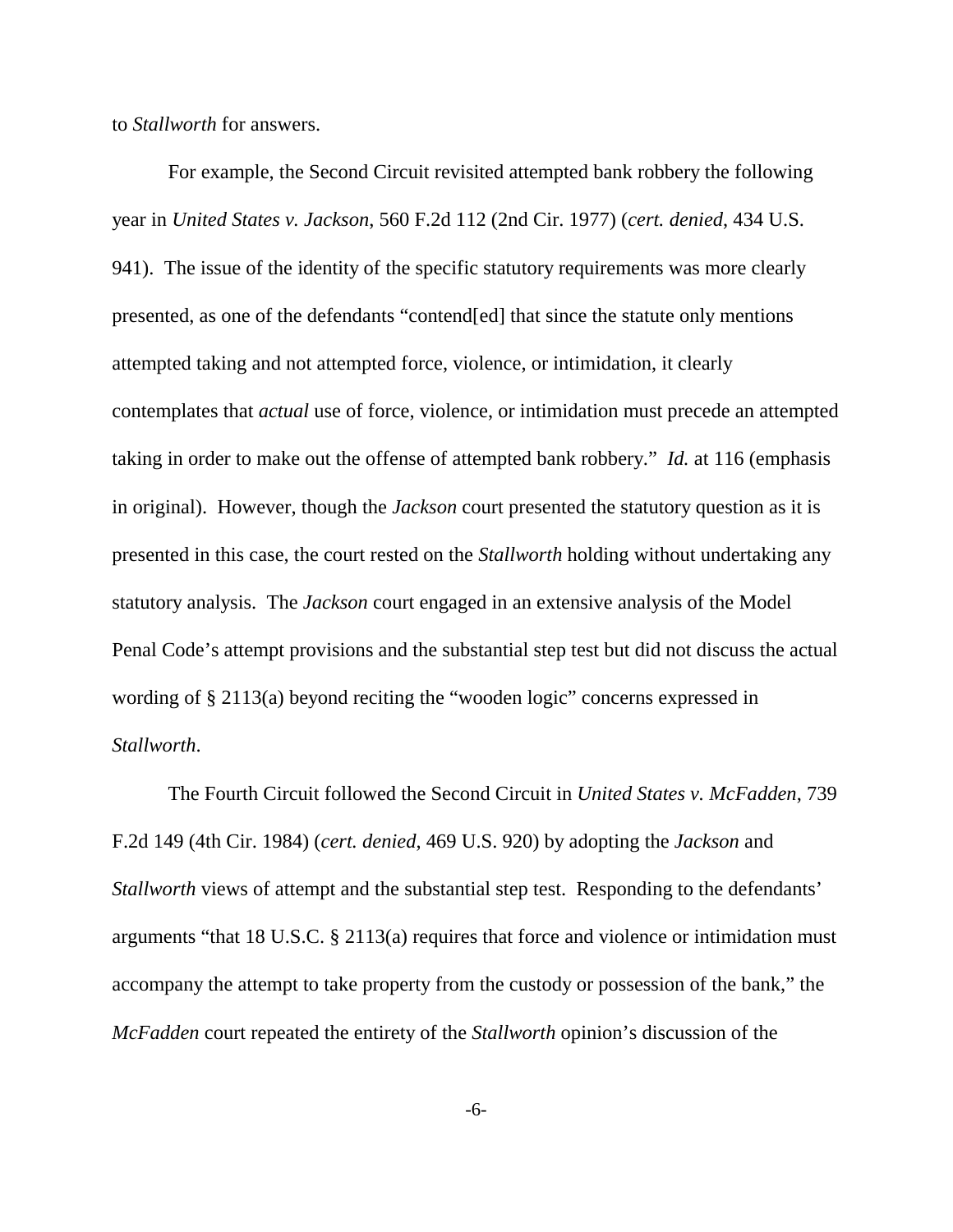to *Stallworth* for answers.

For example, the Second Circuit revisited attempted bank robbery the following year in *United States v. Jackson*, 560 F.2d 112 (2nd Cir. 1977) (*cert. denied*, 434 U.S. 941). The issue of the identity of the specific statutory requirements was more clearly presented, as one of the defendants "contend[ed] that since the statute only mentions attempted taking and not attempted force, violence, or intimidation, it clearly contemplates that *actual* use of force, violence, or intimidation must precede an attempted taking in order to make out the offense of attempted bank robbery." *Id.* at 116 (emphasis in original). However, though the *Jackson* court presented the statutory question as it is presented in this case, the court rested on the *Stallworth* holding without undertaking any statutory analysis. The *Jackson* court engaged in an extensive analysis of the Model Penal Code's attempt provisions and the substantial step test but did not discuss the actual wording of § 2113(a) beyond reciting the "wooden logic" concerns expressed in *Stallworth*.

The Fourth Circuit followed the Second Circuit in *United States v. McFadden*, 739 F.2d 149 (4th Cir. 1984) (*cert. denied*, 469 U.S. 920) by adopting the *Jackson* and *Stallworth* views of attempt and the substantial step test. Responding to the defendants' arguments "that 18 U.S.C. § 2113(a) requires that force and violence or intimidation must accompany the attempt to take property from the custody or possession of the bank," the *McFadden* court repeated the entirety of the *Stallworth* opinion's discussion of the

-6-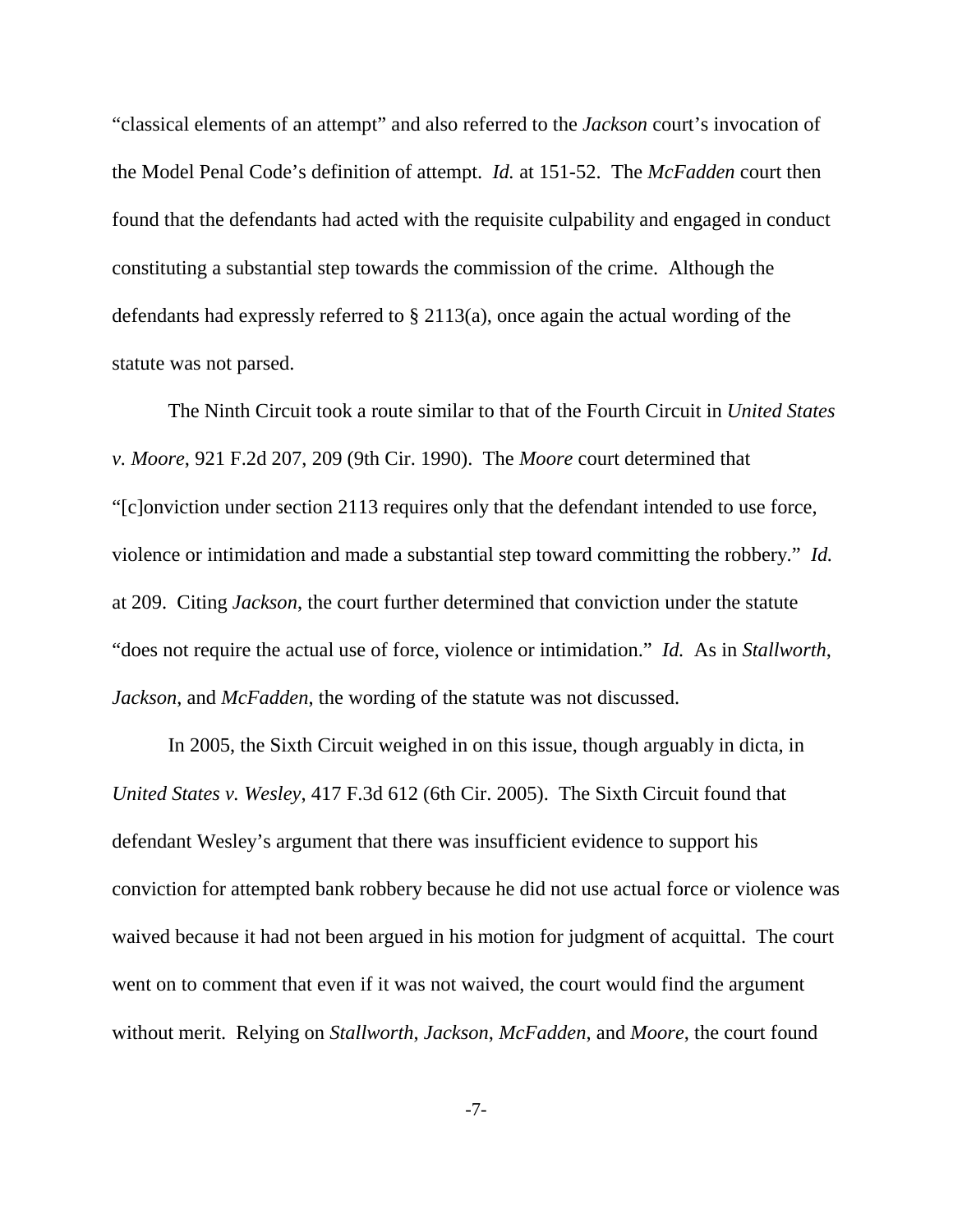"classical elements of an attempt" and also referred to the *Jackson* court's invocation of the Model Penal Code's definition of attempt. *Id.* at 151-52. The *McFadden* court then found that the defendants had acted with the requisite culpability and engaged in conduct constituting a substantial step towards the commission of the crime. Although the defendants had expressly referred to § 2113(a), once again the actual wording of the statute was not parsed.

The Ninth Circuit took a route similar to that of the Fourth Circuit in *United States v. Moore*, 921 F.2d 207, 209 (9th Cir. 1990). The *Moore* court determined that "[c]onviction under section 2113 requires only that the defendant intended to use force, violence or intimidation and made a substantial step toward committing the robbery." *Id.* at 209. Citing *Jackson*, the court further determined that conviction under the statute "does not require the actual use of force, violence or intimidation." *Id.* As in *Stallworth*, *Jackson*, and *McFadden*, the wording of the statute was not discussed.

In 2005, the Sixth Circuit weighed in on this issue, though arguably in dicta, in *United States v. Wesley*, 417 F.3d 612 (6th Cir. 2005). The Sixth Circuit found that defendant Wesley's argument that there was insufficient evidence to support his conviction for attempted bank robbery because he did not use actual force or violence was waived because it had not been argued in his motion for judgment of acquittal. The court went on to comment that even if it was not waived, the court would find the argument without merit. Relying on *Stallworth*, *Jackson*, *McFadden*, and *Moore*, the court found

-7-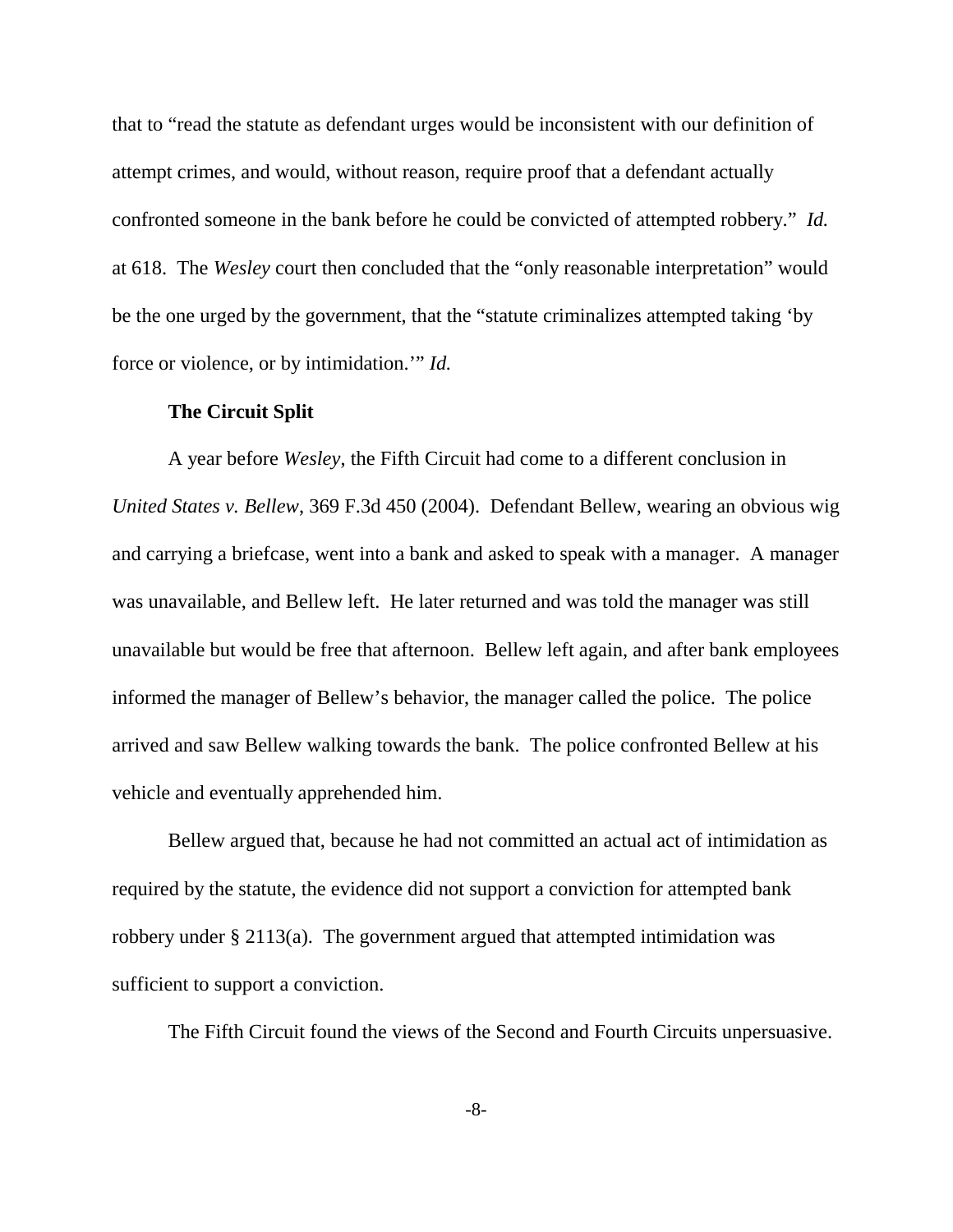that to "read the statute as defendant urges would be inconsistent with our definition of attempt crimes, and would, without reason, require proof that a defendant actually confronted someone in the bank before he could be convicted of attempted robbery." *Id.* at 618. The *Wesley* court then concluded that the "only reasonable interpretation" would be the one urged by the government, that the "statute criminalizes attempted taking 'by force or violence, or by intimidation.'" *Id.*

#### **The Circuit Split**

A year before *Wesley*, the Fifth Circuit had come to a different conclusion in *United States v. Bellew*, 369 F.3d 450 (2004). Defendant Bellew, wearing an obvious wig and carrying a briefcase, went into a bank and asked to speak with a manager. A manager was unavailable, and Bellew left. He later returned and was told the manager was still unavailable but would be free that afternoon. Bellew left again, and after bank employees informed the manager of Bellew's behavior, the manager called the police. The police arrived and saw Bellew walking towards the bank. The police confronted Bellew at his vehicle and eventually apprehended him.

Bellew argued that, because he had not committed an actual act of intimidation as required by the statute, the evidence did not support a conviction for attempted bank robbery under § 2113(a). The government argued that attempted intimidation was sufficient to support a conviction.

The Fifth Circuit found the views of the Second and Fourth Circuits unpersuasive.

-8-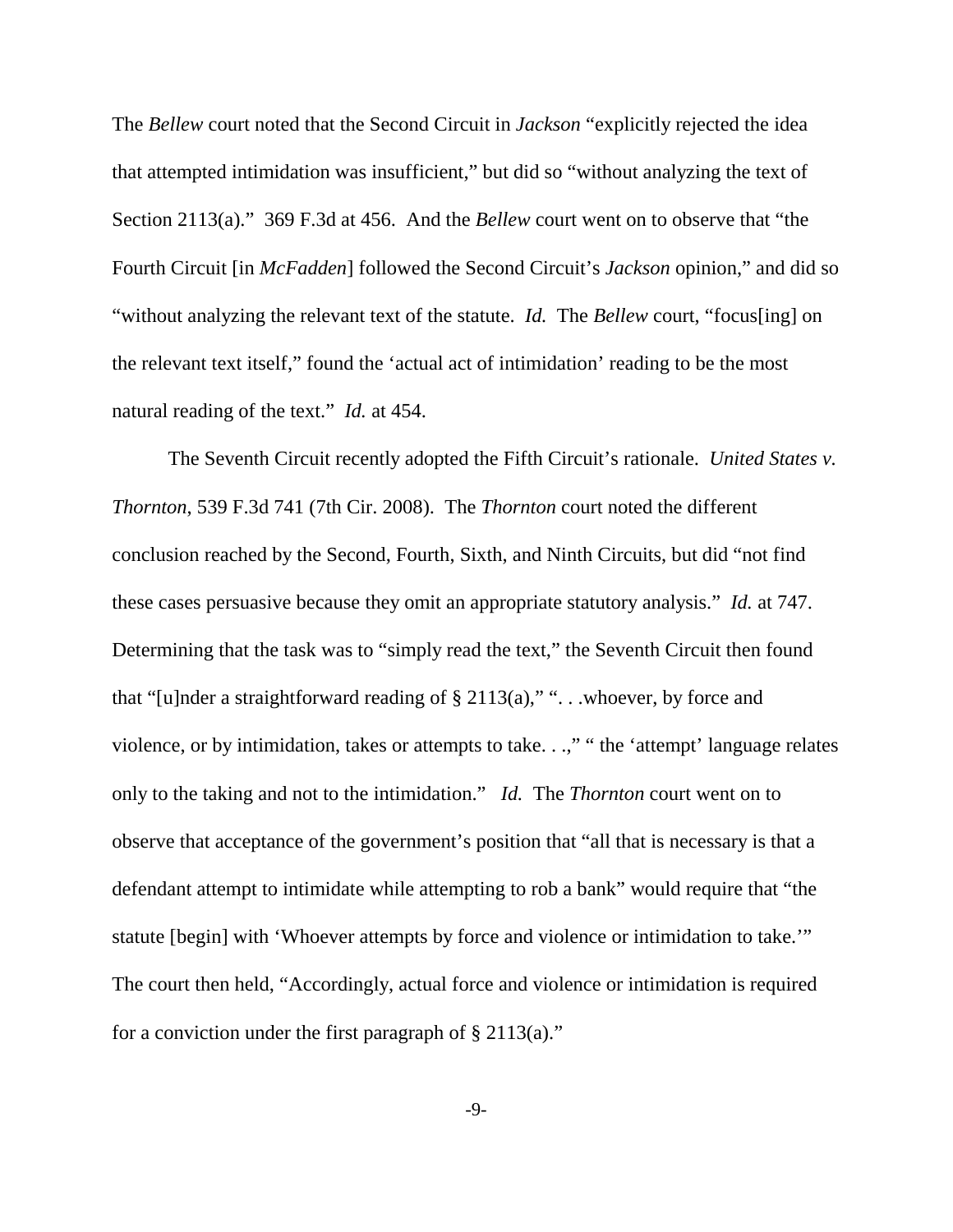The *Bellew* court noted that the Second Circuit in *Jackson* "explicitly rejected the idea that attempted intimidation was insufficient," but did so "without analyzing the text of Section 2113(a)." 369 F.3d at 456. And the *Bellew* court went on to observe that "the Fourth Circuit [in *McFadden*] followed the Second Circuit's *Jackson* opinion," and did so "without analyzing the relevant text of the statute. *Id.* The *Bellew* court, "focus[ing] on the relevant text itself," found the 'actual act of intimidation' reading to be the most natural reading of the text." *Id.* at 454.

The Seventh Circuit recently adopted the Fifth Circuit's rationale. *United States v. Thornton*, 539 F.3d 741 (7th Cir. 2008). The *Thornton* court noted the different conclusion reached by the Second, Fourth, Sixth, and Ninth Circuits, but did "not find these cases persuasive because they omit an appropriate statutory analysis." *Id.* at 747. Determining that the task was to "simply read the text," the Seventh Circuit then found that "[u]nder a straightforward reading of  $\S 2113(a)$ ," "...whoever, by force and violence, or by intimidation, takes or attempts to take. . .," " the 'attempt' language relates only to the taking and not to the intimidation." *Id.* The *Thornton* court went on to observe that acceptance of the government's position that "all that is necessary is that a defendant attempt to intimidate while attempting to rob a bank" would require that "the statute [begin] with 'Whoever attempts by force and violence or intimidation to take.'" The court then held, "Accordingly, actual force and violence or intimidation is required for a conviction under the first paragraph of  $\S 2113(a)$ ."

-9-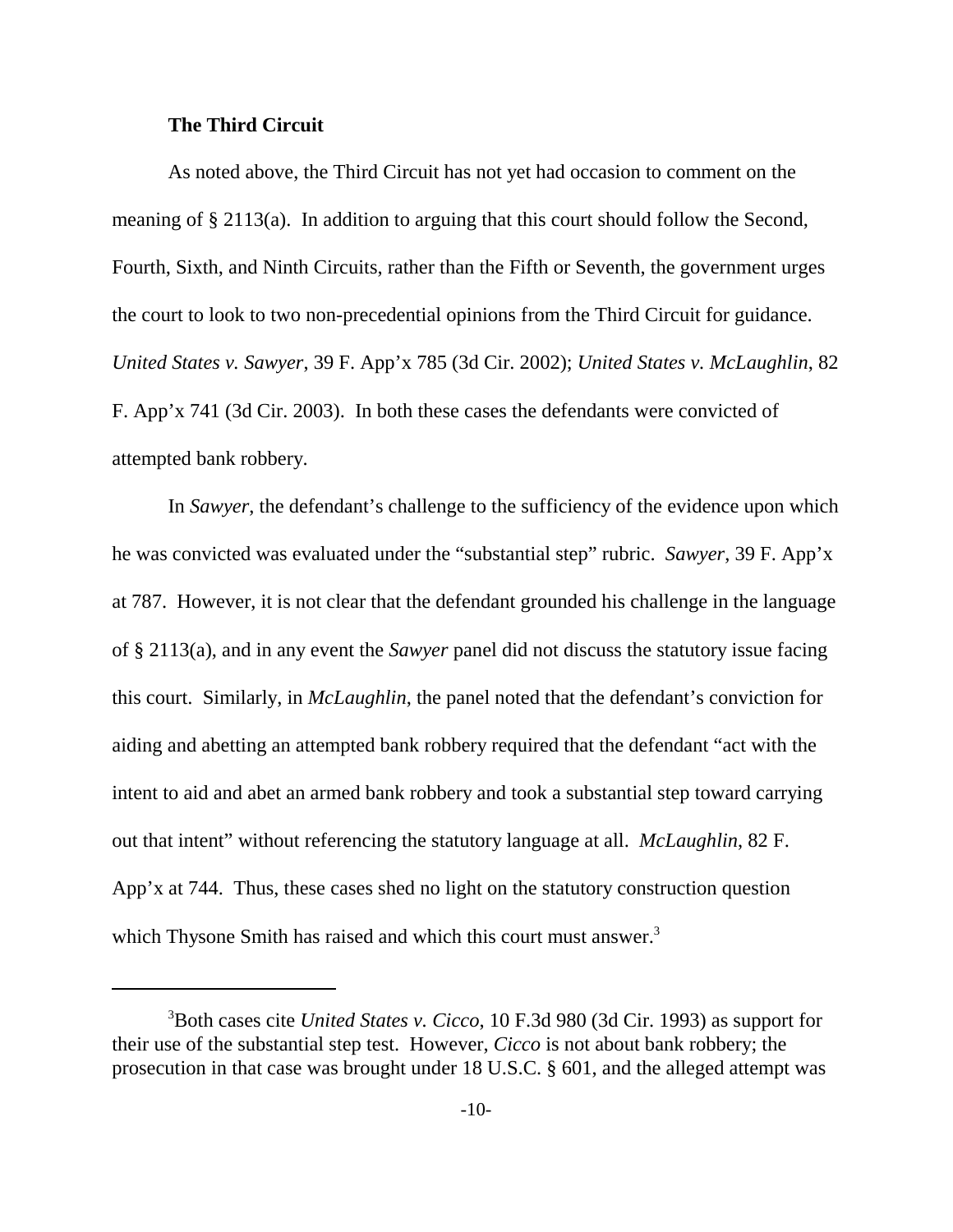#### **The Third Circuit**

As noted above, the Third Circuit has not yet had occasion to comment on the meaning of § 2113(a). In addition to arguing that this court should follow the Second, Fourth, Sixth, and Ninth Circuits, rather than the Fifth or Seventh, the government urges the court to look to two non-precedential opinions from the Third Circuit for guidance. *United States v. Sawyer*, 39 F. App'x 785 (3d Cir. 2002); *United States v. McLaughlin*, 82 F. App'x 741 (3d Cir. 2003). In both these cases the defendants were convicted of attempted bank robbery.

In *Sawyer*, the defendant's challenge to the sufficiency of the evidence upon which he was convicted was evaluated under the "substantial step" rubric. *Sawyer*, 39 F. App'x at 787. However, it is not clear that the defendant grounded his challenge in the language of § 2113(a), and in any event the *Sawyer* panel did not discuss the statutory issue facing this court. Similarly, in *McLaughlin*, the panel noted that the defendant's conviction for aiding and abetting an attempted bank robbery required that the defendant "act with the intent to aid and abet an armed bank robbery and took a substantial step toward carrying out that intent" without referencing the statutory language at all. *McLaughlin*, 82 F. App'x at 744. Thus, these cases shed no light on the statutory construction question which Thysone Smith has raised and which this court must answer.<sup>3</sup>

<sup>3</sup> Both cases cite *United States v. Cicco*, 10 F.3d 980 (3d Cir. 1993) as support for their use of the substantial step test. However, *Cicco* is not about bank robbery; the prosecution in that case was brought under 18 U.S.C. § 601, and the alleged attempt was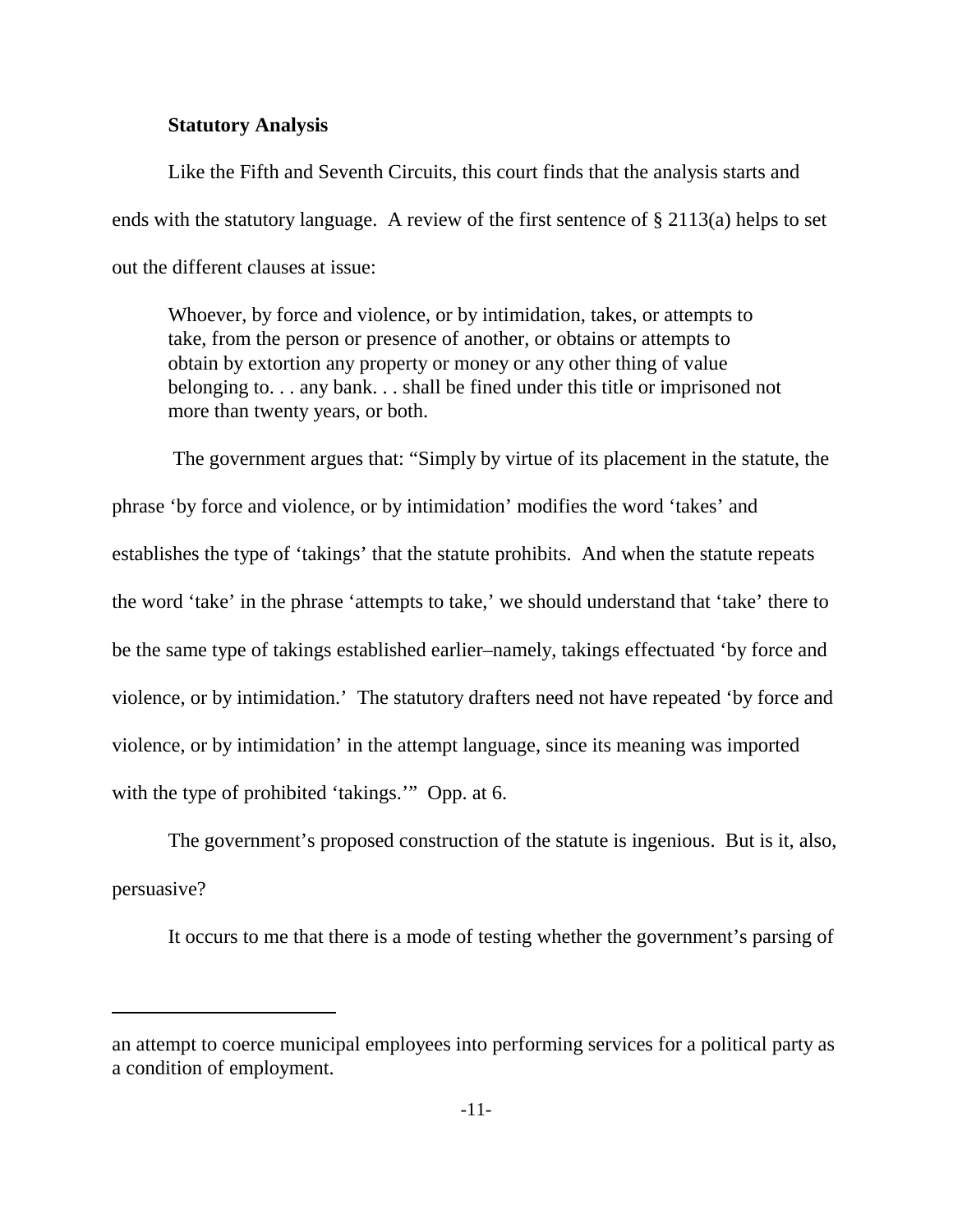### **Statutory Analysis**

Like the Fifth and Seventh Circuits, this court finds that the analysis starts and ends with the statutory language. A review of the first sentence of § 2113(a) helps to set out the different clauses at issue:

Whoever, by force and violence, or by intimidation, takes, or attempts to take, from the person or presence of another, or obtains or attempts to obtain by extortion any property or money or any other thing of value belonging to. . . any bank. . . shall be fined under this title or imprisoned not more than twenty years, or both.

The government argues that: "Simply by virtue of its placement in the statute, the phrase 'by force and violence, or by intimidation' modifies the word 'takes' and establishes the type of 'takings' that the statute prohibits. And when the statute repeats the word 'take' in the phrase 'attempts to take,' we should understand that 'take' there to be the same type of takings established earlier–namely, takings effectuated 'by force and violence, or by intimidation.' The statutory drafters need not have repeated 'by force and violence, or by intimidation' in the attempt language, since its meaning was imported with the type of prohibited 'takings.'" Opp. at 6.

The government's proposed construction of the statute is ingenious. But is it, also, persuasive?

It occurs to me that there is a mode of testing whether the government's parsing of

an attempt to coerce municipal employees into performing services for a political party as a condition of employment.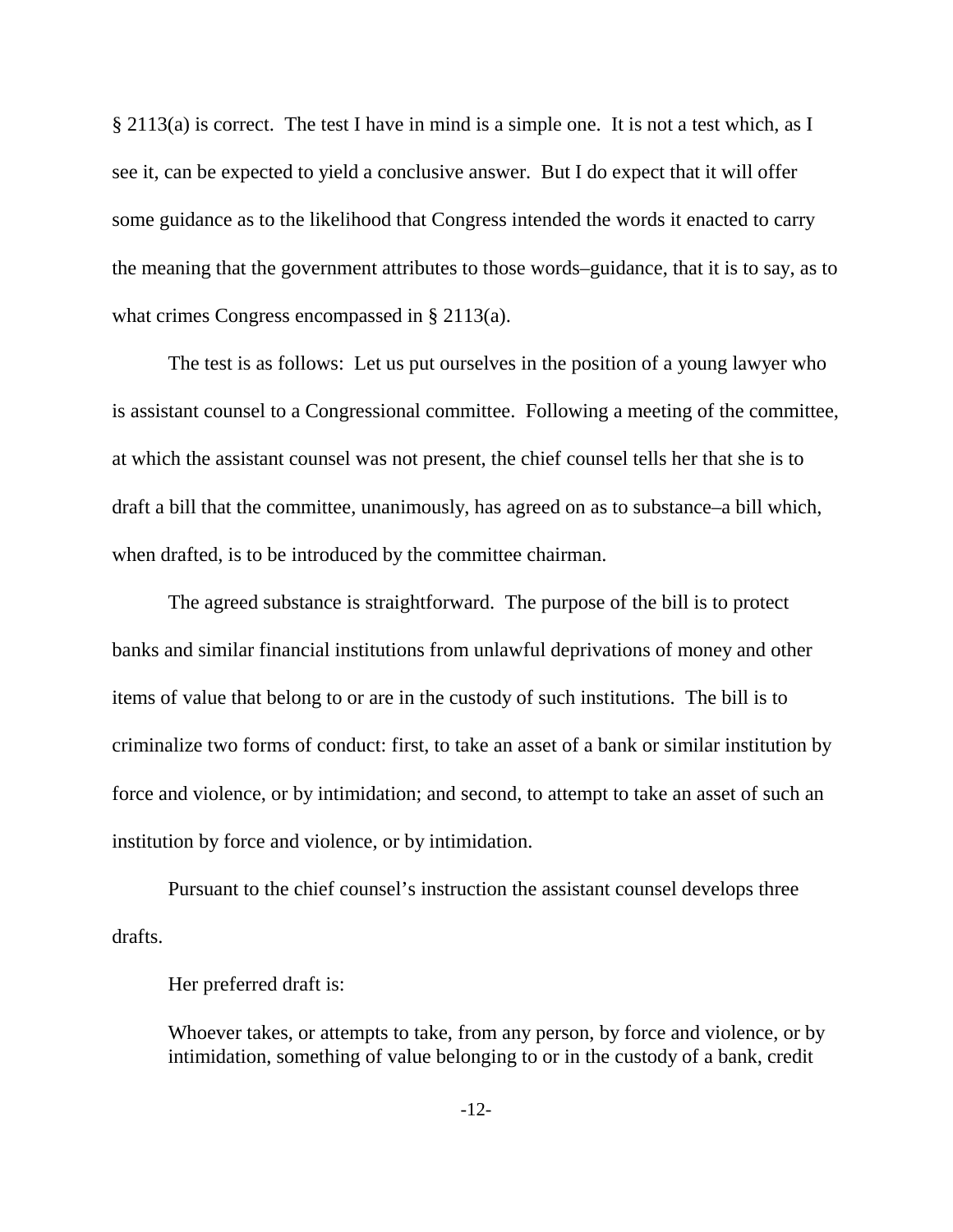§ 2113(a) is correct. The test I have in mind is a simple one. It is not a test which, as I see it, can be expected to yield a conclusive answer. But I do expect that it will offer some guidance as to the likelihood that Congress intended the words it enacted to carry the meaning that the government attributes to those words–guidance, that it is to say, as to what crimes Congress encompassed in § 2113(a).

The test is as follows: Let us put ourselves in the position of a young lawyer who is assistant counsel to a Congressional committee. Following a meeting of the committee, at which the assistant counsel was not present, the chief counsel tells her that she is to draft a bill that the committee, unanimously, has agreed on as to substance–a bill which, when drafted, is to be introduced by the committee chairman.

The agreed substance is straightforward. The purpose of the bill is to protect banks and similar financial institutions from unlawful deprivations of money and other items of value that belong to or are in the custody of such institutions. The bill is to criminalize two forms of conduct: first, to take an asset of a bank or similar institution by force and violence, or by intimidation; and second, to attempt to take an asset of such an institution by force and violence, or by intimidation.

Pursuant to the chief counsel's instruction the assistant counsel develops three drafts.

Her preferred draft is:

Whoever takes, or attempts to take, from any person, by force and violence, or by intimidation, something of value belonging to or in the custody of a bank, credit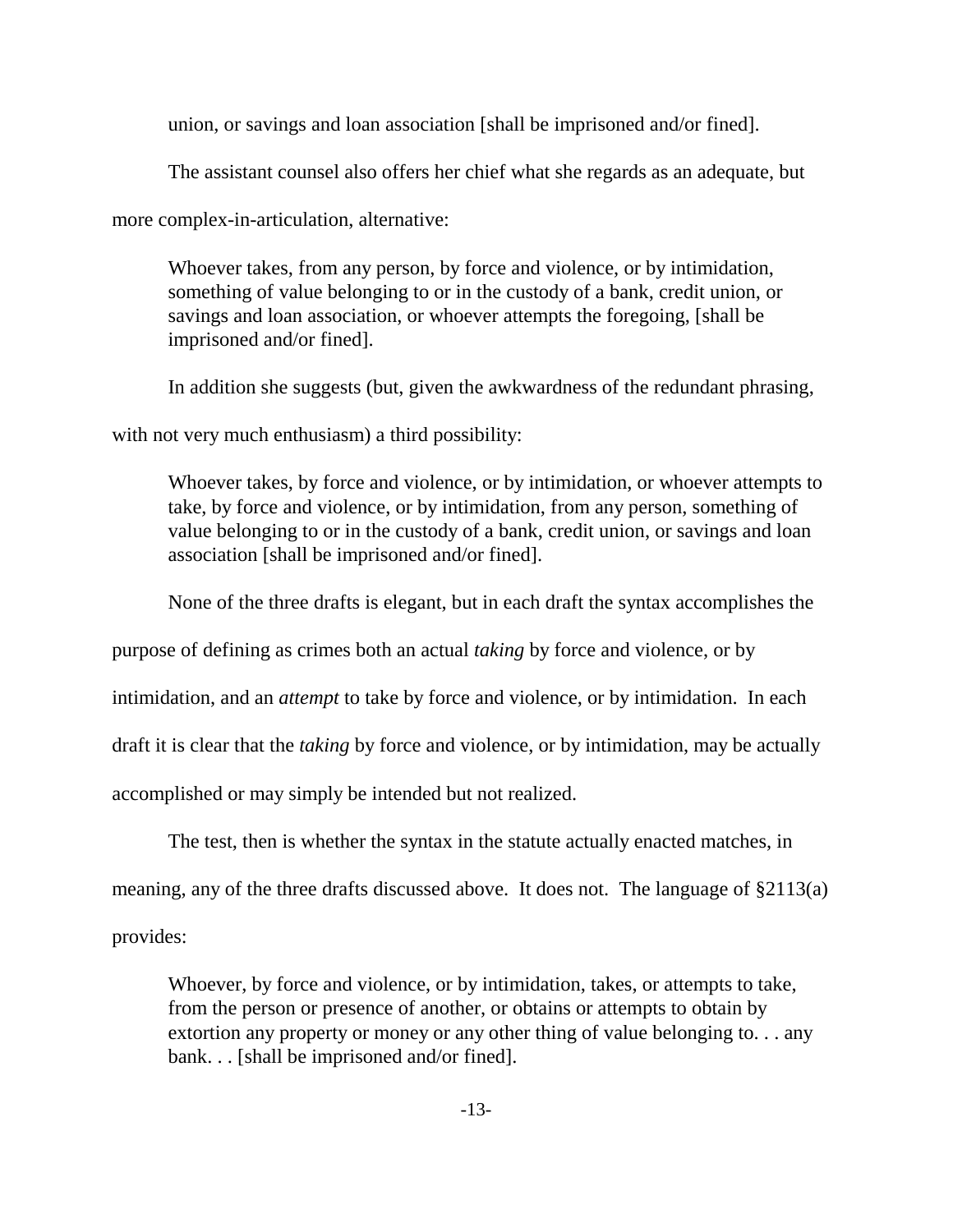union, or savings and loan association [shall be imprisoned and/or fined].

The assistant counsel also offers her chief what she regards as an adequate, but

more complex-in-articulation, alternative:

Whoever takes, from any person, by force and violence, or by intimidation, something of value belonging to or in the custody of a bank, credit union, or savings and loan association, or whoever attempts the foregoing, [shall be imprisoned and/or fined].

In addition she suggests (but, given the awkwardness of the redundant phrasing,

with not very much enthusiasm) a third possibility:

Whoever takes, by force and violence, or by intimidation, or whoever attempts to take, by force and violence, or by intimidation, from any person, something of value belonging to or in the custody of a bank, credit union, or savings and loan association [shall be imprisoned and/or fined].

None of the three drafts is elegant, but in each draft the syntax accomplishes the

purpose of defining as crimes both an actual *taking* by force and violence, or by

intimidation, and an *attempt* to take by force and violence, or by intimidation. In each

draft it is clear that the *taking* by force and violence, or by intimidation, may be actually

accomplished or may simply be intended but not realized.

The test, then is whether the syntax in the statute actually enacted matches, in

meaning, any of the three drafts discussed above. It does not. The language of §2113(a)

provides:

Whoever, by force and violence, or by intimidation, takes, or attempts to take, from the person or presence of another, or obtains or attempts to obtain by extortion any property or money or any other thing of value belonging to. . . any bank. . . [shall be imprisoned and/or fined].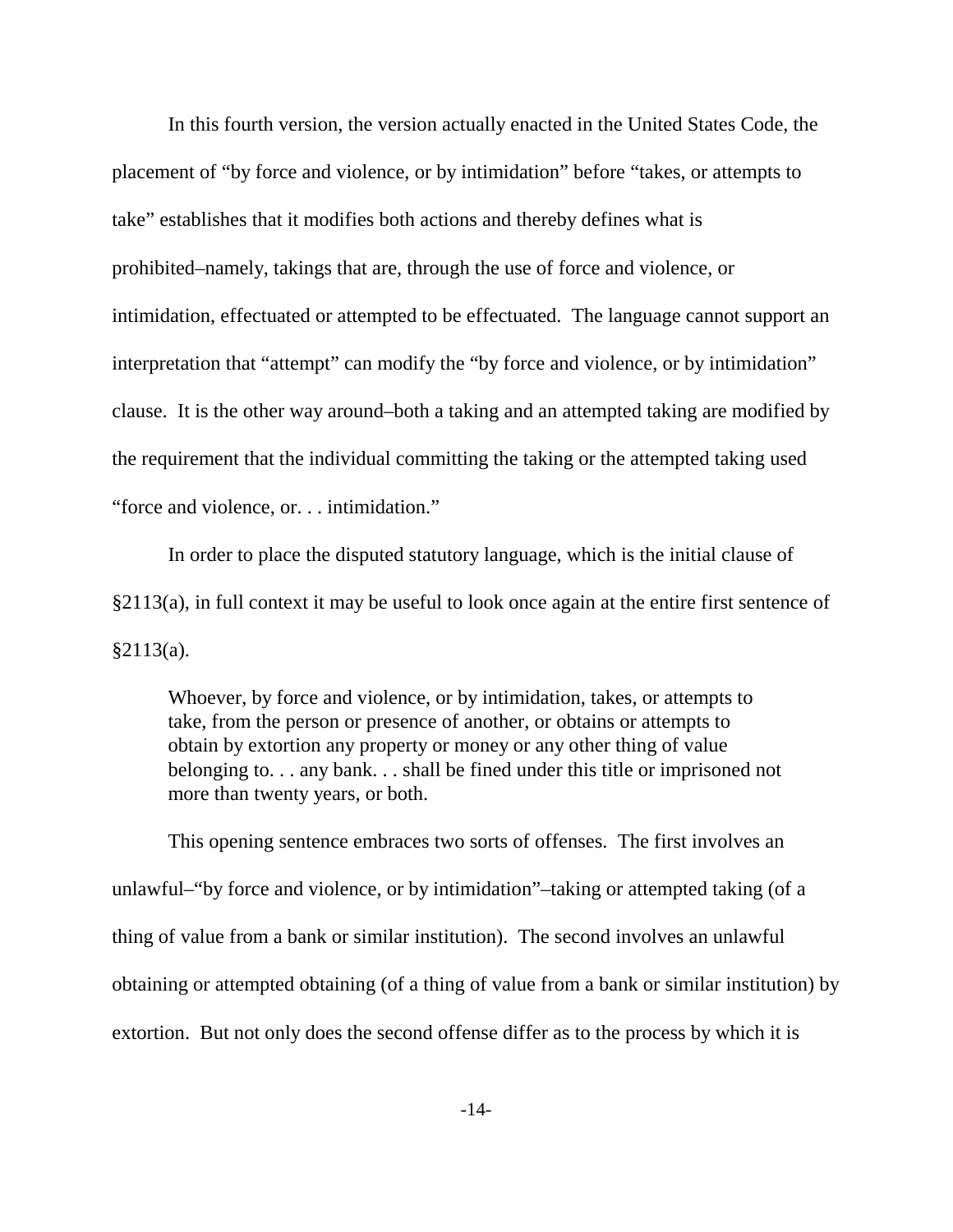In this fourth version, the version actually enacted in the United States Code, the placement of "by force and violence, or by intimidation" before "takes, or attempts to take" establishes that it modifies both actions and thereby defines what is prohibited–namely, takings that are, through the use of force and violence, or intimidation, effectuated or attempted to be effectuated. The language cannot support an interpretation that "attempt" can modify the "by force and violence, or by intimidation" clause. It is the other way around–both a taking and an attempted taking are modified by the requirement that the individual committing the taking or the attempted taking used "force and violence, or. . . intimidation."

In order to place the disputed statutory language, which is the initial clause of §2113(a), in full context it may be useful to look once again at the entire first sentence of §2113(a).

Whoever, by force and violence, or by intimidation, takes, or attempts to take, from the person or presence of another, or obtains or attempts to obtain by extortion any property or money or any other thing of value belonging to. . . any bank. . . shall be fined under this title or imprisoned not more than twenty years, or both.

This opening sentence embraces two sorts of offenses. The first involves an unlawful–"by force and violence, or by intimidation"–taking or attempted taking (of a thing of value from a bank or similar institution). The second involves an unlawful obtaining or attempted obtaining (of a thing of value from a bank or similar institution) by extortion. But not only does the second offense differ as to the process by which it is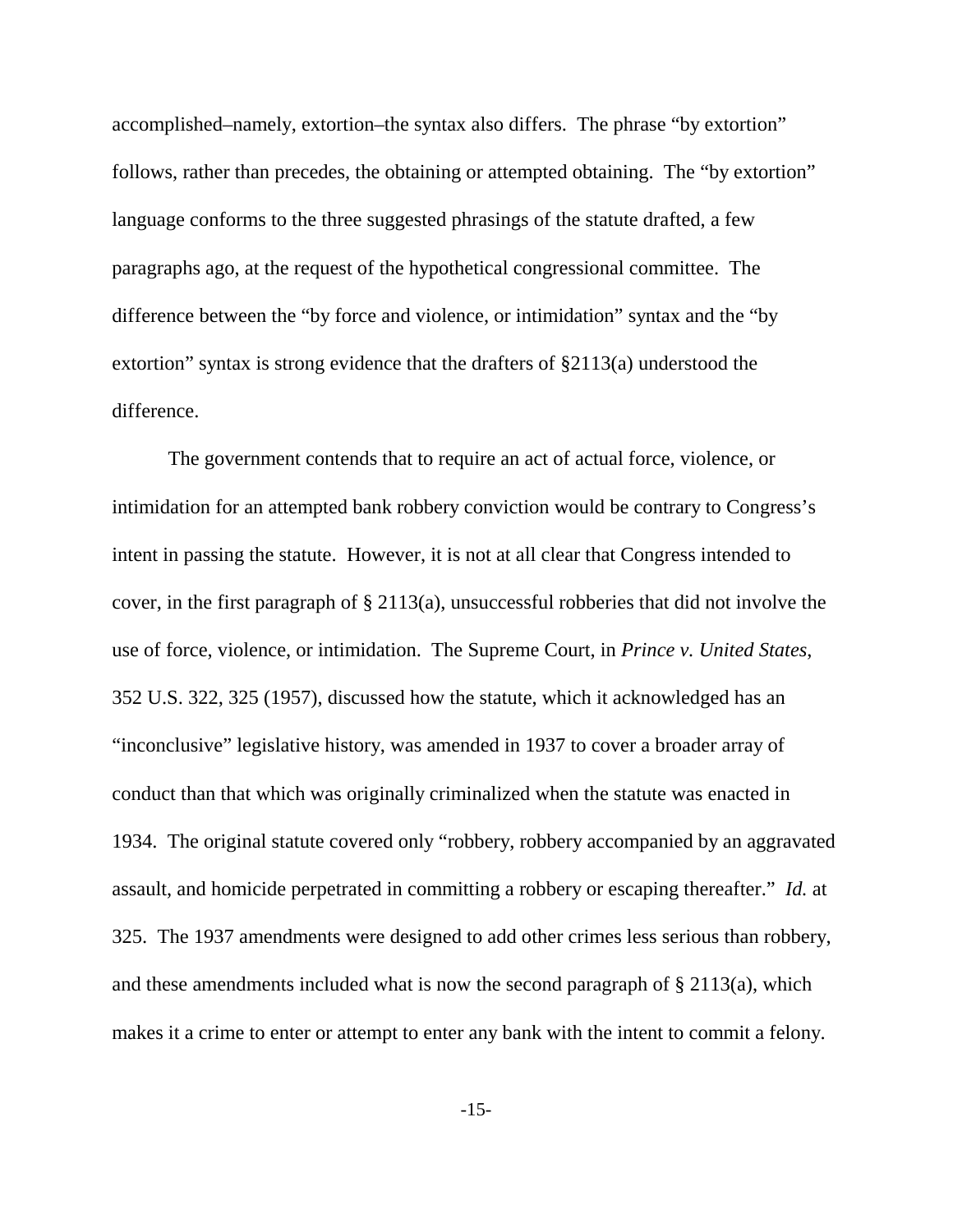accomplished–namely, extortion–the syntax also differs. The phrase "by extortion" follows, rather than precedes, the obtaining or attempted obtaining. The "by extortion" language conforms to the three suggested phrasings of the statute drafted, a few paragraphs ago, at the request of the hypothetical congressional committee. The difference between the "by force and violence, or intimidation" syntax and the "by extortion" syntax is strong evidence that the drafters of §2113(a) understood the difference.

The government contends that to require an act of actual force, violence, or intimidation for an attempted bank robbery conviction would be contrary to Congress's intent in passing the statute. However, it is not at all clear that Congress intended to cover, in the first paragraph of  $\S 2113(a)$ , unsuccessful robberies that did not involve the use of force, violence, or intimidation. The Supreme Court, in *Prince v. United States*, 352 U.S. 322, 325 (1957), discussed how the statute, which it acknowledged has an "inconclusive" legislative history, was amended in 1937 to cover a broader array of conduct than that which was originally criminalized when the statute was enacted in 1934. The original statute covered only "robbery, robbery accompanied by an aggravated assault, and homicide perpetrated in committing a robbery or escaping thereafter." *Id.* at 325. The 1937 amendments were designed to add other crimes less serious than robbery, and these amendments included what is now the second paragraph of § 2113(a), which makes it a crime to enter or attempt to enter any bank with the intent to commit a felony.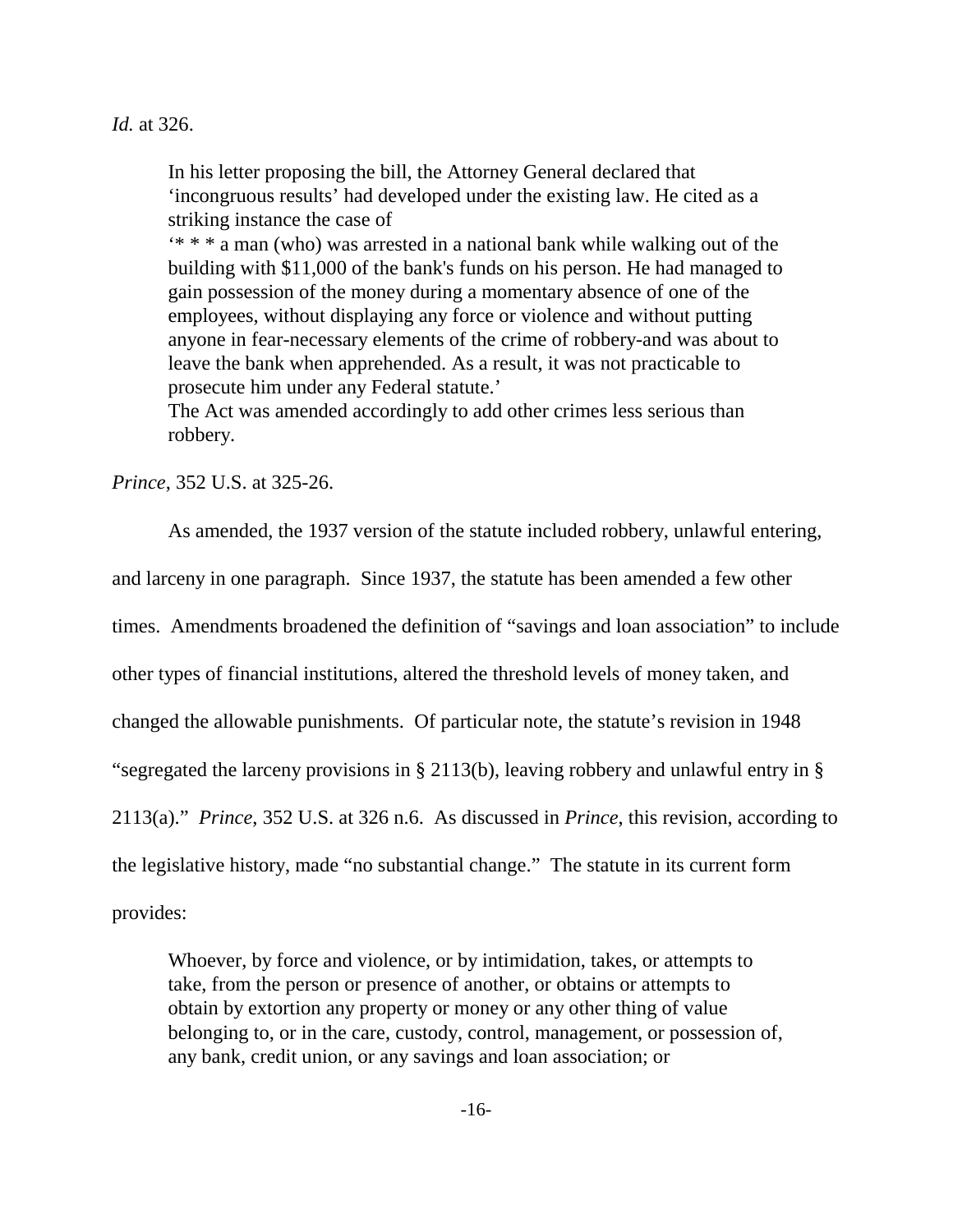*Id.* at 326.

In his letter proposing the bill, the Attorney General declared that 'incongruous results' had developed under the existing law. He cited as a striking instance the case of '\* \* \* a man (who) was arrested in a national bank while walking out of the building with \$11,000 of the bank's funds on his person. He had managed to gain possession of the money during a momentary absence of one of the employees, without displaying any force or violence and without putting anyone in fear-necessary elements of the crime of robbery-and was about to leave the bank when apprehended. As a result, it was not practicable to prosecute him under any Federal statute.' The Act was amended accordingly to add other crimes less serious than

*Prince*, 352 U.S. at 325-26.

robbery.

As amended, the 1937 version of the statute included robbery, unlawful entering,

and larceny in one paragraph. Since 1937, the statute has been amended a few other

times. Amendments broadened the definition of "savings and loan association" to include

other types of financial institutions, altered the threshold levels of money taken, and

changed the allowable punishments. Of particular note, the statute's revision in 1948

"segregated the larceny provisions in § 2113(b), leaving robbery and unlawful entry in §

2113(a)." *Prince*, 352 U.S. at 326 n.6. As discussed in *Prince*, this revision, according to

the legislative history, made "no substantial change." The statute in its current form

provides:

Whoever, by force and violence, or by intimidation, takes, or attempts to take, from the person or presence of another, or obtains or attempts to obtain by extortion any property or money or any other thing of value belonging to, or in the care, custody, control, management, or possession of, any bank, credit union, or any savings and loan association; or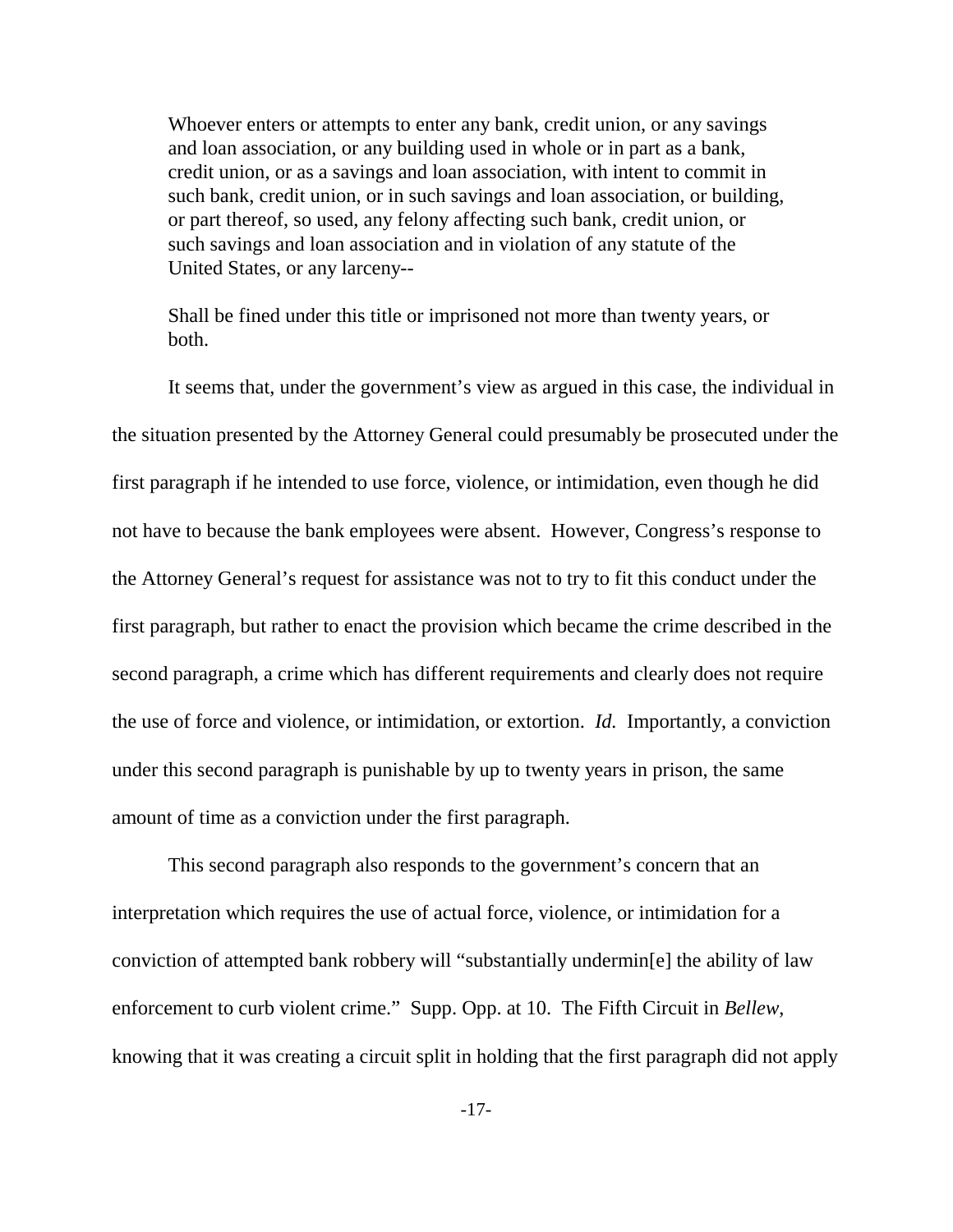Whoever enters or attempts to enter any bank, credit union, or any savings and loan association, or any building used in whole or in part as a bank, credit union, or as a savings and loan association, with intent to commit in such bank, credit union, or in such savings and loan association, or building, or part thereof, so used, any felony affecting such bank, credit union, or such savings and loan association and in violation of any statute of the United States, or any larceny--

Shall be fined under this title or imprisoned not more than twenty years, or both.

It seems that, under the government's view as argued in this case, the individual in the situation presented by the Attorney General could presumably be prosecuted under the first paragraph if he intended to use force, violence, or intimidation, even though he did not have to because the bank employees were absent. However, Congress's response to the Attorney General's request for assistance was not to try to fit this conduct under the first paragraph, but rather to enact the provision which became the crime described in the second paragraph, a crime which has different requirements and clearly does not require the use of force and violence, or intimidation, or extortion. *Id.* Importantly, a conviction under this second paragraph is punishable by up to twenty years in prison, the same amount of time as a conviction under the first paragraph.

This second paragraph also responds to the government's concern that an interpretation which requires the use of actual force, violence, or intimidation for a conviction of attempted bank robbery will "substantially undermin[e] the ability of law enforcement to curb violent crime." Supp. Opp. at 10. The Fifth Circuit in *Bellew*, knowing that it was creating a circuit split in holding that the first paragraph did not apply

-17-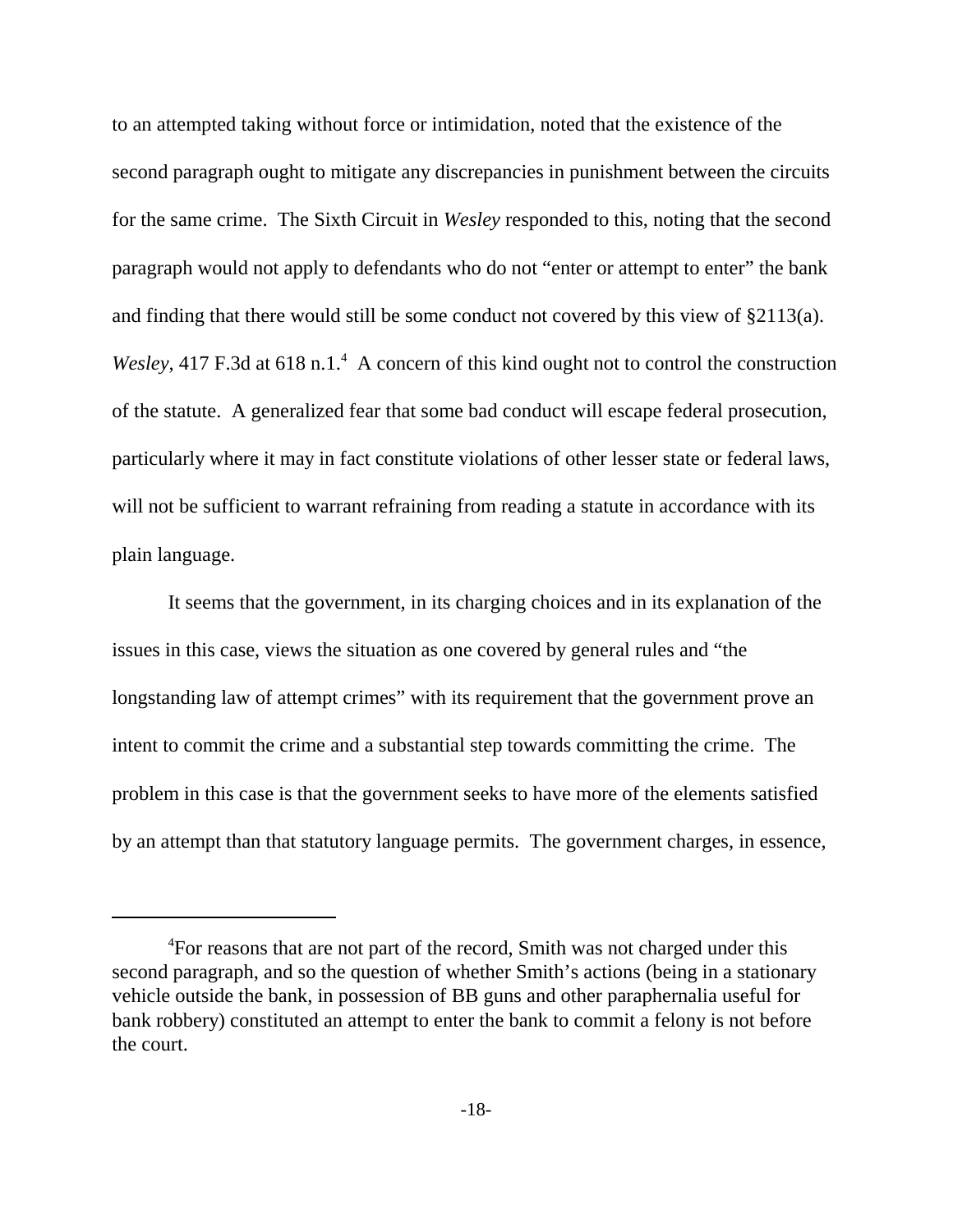to an attempted taking without force or intimidation, noted that the existence of the second paragraph ought to mitigate any discrepancies in punishment between the circuits for the same crime. The Sixth Circuit in *Wesley* responded to this, noting that the second paragraph would not apply to defendants who do not "enter or attempt to enter" the bank and finding that there would still be some conduct not covered by this view of §2113(a). Wesley, 417 F.3d at 618 n.1.<sup>4</sup> A concern of this kind ought not to control the construction of the statute. A generalized fear that some bad conduct will escape federal prosecution, particularly where it may in fact constitute violations of other lesser state or federal laws, will not be sufficient to warrant refraining from reading a statute in accordance with its plain language.

It seems that the government, in its charging choices and in its explanation of the issues in this case, views the situation as one covered by general rules and "the longstanding law of attempt crimes" with its requirement that the government prove an intent to commit the crime and a substantial step towards committing the crime. The problem in this case is that the government seeks to have more of the elements satisfied by an attempt than that statutory language permits. The government charges, in essence,

<sup>&</sup>lt;sup>4</sup>For reasons that are not part of the record, Smith was not charged under this second paragraph, and so the question of whether Smith's actions (being in a stationary vehicle outside the bank, in possession of BB guns and other paraphernalia useful for bank robbery) constituted an attempt to enter the bank to commit a felony is not before the court.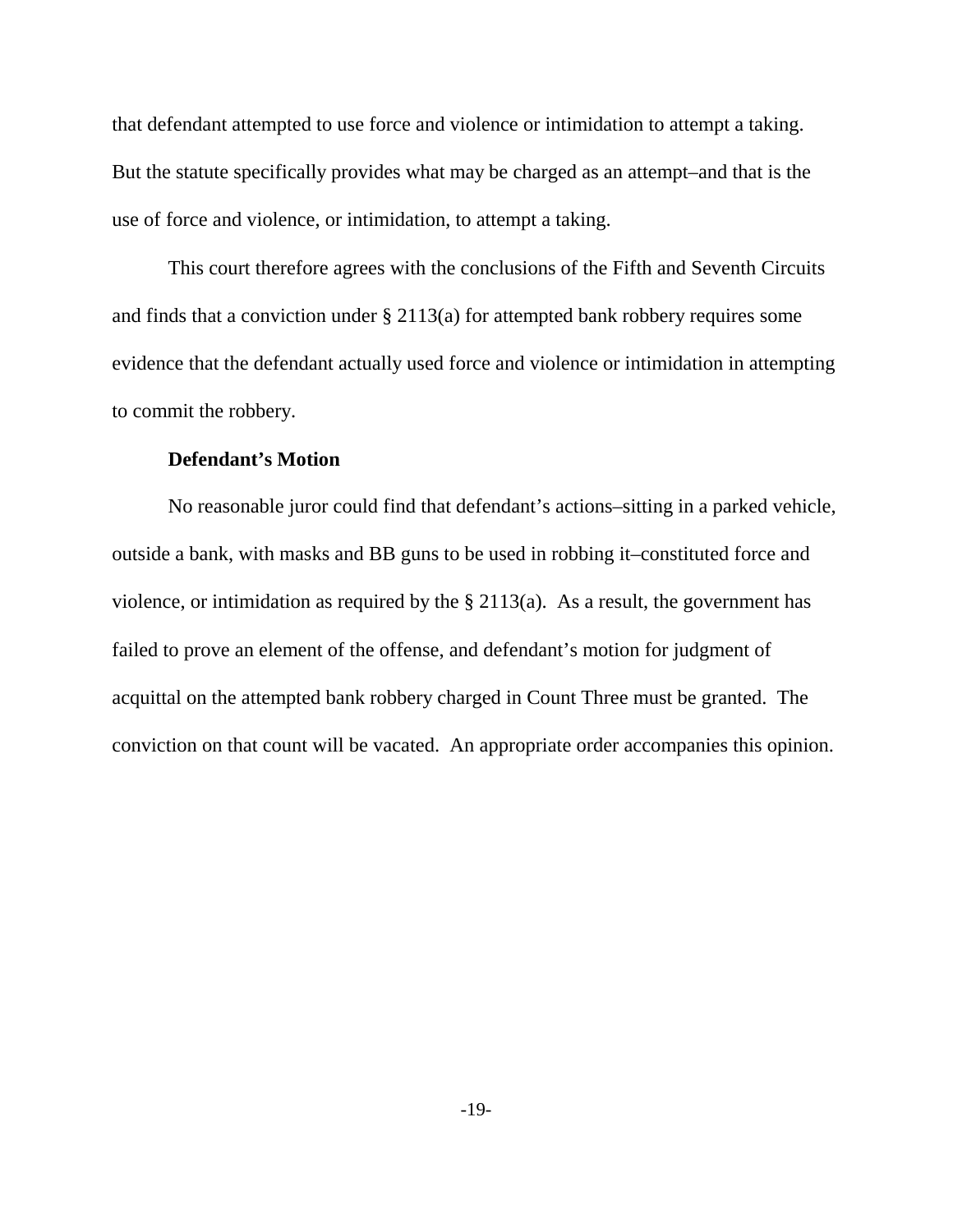that defendant attempted to use force and violence or intimidation to attempt a taking. But the statute specifically provides what may be charged as an attempt–and that is the use of force and violence, or intimidation, to attempt a taking.

This court therefore agrees with the conclusions of the Fifth and Seventh Circuits and finds that a conviction under § 2113(a) for attempted bank robbery requires some evidence that the defendant actually used force and violence or intimidation in attempting to commit the robbery.

#### **Defendant's Motion**

No reasonable juror could find that defendant's actions–sitting in a parked vehicle, outside a bank, with masks and BB guns to be used in robbing it–constituted force and violence, or intimidation as required by the § 2113(a). As a result, the government has failed to prove an element of the offense, and defendant's motion for judgment of acquittal on the attempted bank robbery charged in Count Three must be granted. The conviction on that count will be vacated. An appropriate order accompanies this opinion.